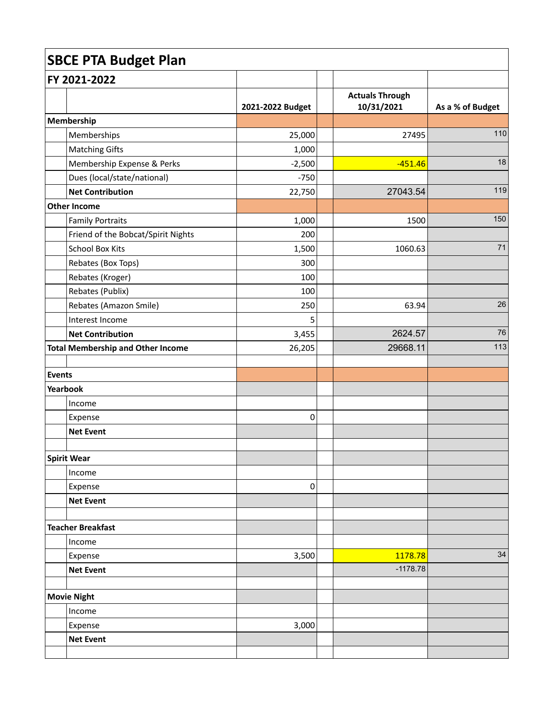| <b>SBCE PTA Budget Plan</b> |                                          |                  |  |                                      |                  |  |
|-----------------------------|------------------------------------------|------------------|--|--------------------------------------|------------------|--|
|                             | FY 2021-2022                             |                  |  |                                      |                  |  |
|                             |                                          | 2021-2022 Budget |  | <b>Actuals Through</b><br>10/31/2021 | As a % of Budget |  |
|                             | Membership                               |                  |  |                                      |                  |  |
|                             | Memberships                              | 25,000           |  | 27495                                | 110              |  |
|                             | <b>Matching Gifts</b>                    | 1,000            |  |                                      |                  |  |
|                             | Membership Expense & Perks               | $-2,500$         |  | $-451.46$                            | 18               |  |
|                             | Dues (local/state/national)              | $-750$           |  |                                      |                  |  |
|                             | <b>Net Contribution</b>                  | 22,750           |  | 27043.54                             | 119              |  |
|                             | Other Income                             |                  |  |                                      |                  |  |
|                             | <b>Family Portraits</b>                  | 1,000            |  | 1500                                 | 150              |  |
|                             | Friend of the Bobcat/Spirit Nights       | 200              |  |                                      |                  |  |
|                             | <b>School Box Kits</b>                   | 1,500            |  | 1060.63                              | 71               |  |
|                             | Rebates (Box Tops)                       | 300              |  |                                      |                  |  |
|                             | Rebates (Kroger)                         | 100              |  |                                      |                  |  |
|                             | Rebates (Publix)                         | 100              |  |                                      |                  |  |
|                             | Rebates (Amazon Smile)                   | 250              |  | 63.94                                | 26               |  |
|                             | Interest Income                          | 5                |  |                                      |                  |  |
|                             | <b>Net Contribution</b>                  | 3,455            |  | 2624.57                              | 76               |  |
|                             | <b>Total Membership and Other Income</b> | 26,205           |  | 29668.11                             | 113              |  |
| Events                      |                                          |                  |  |                                      |                  |  |
| Yearbook                    |                                          |                  |  |                                      |                  |  |
|                             | Income                                   |                  |  |                                      |                  |  |
|                             | Expense                                  | 0                |  |                                      |                  |  |
|                             | <b>Net Event</b>                         |                  |  |                                      |                  |  |
|                             | Spirit Wear                              |                  |  |                                      |                  |  |
|                             | Income                                   |                  |  |                                      |                  |  |
|                             | Expense                                  | 0                |  |                                      |                  |  |
|                             | <b>Net Event</b>                         |                  |  |                                      |                  |  |
|                             | <b>Teacher Breakfast</b>                 |                  |  |                                      |                  |  |
|                             | Income                                   |                  |  |                                      |                  |  |
|                             | Expense                                  | 3,500            |  | 1178.78                              | 34               |  |
|                             | <b>Net Event</b>                         |                  |  | $-1178.78$                           |                  |  |
|                             |                                          |                  |  |                                      |                  |  |
|                             | Movie Night                              |                  |  |                                      |                  |  |
|                             | Income                                   |                  |  |                                      |                  |  |
|                             | Expense                                  | 3,000            |  |                                      |                  |  |
|                             | <b>Net Event</b>                         |                  |  |                                      |                  |  |
|                             |                                          |                  |  |                                      |                  |  |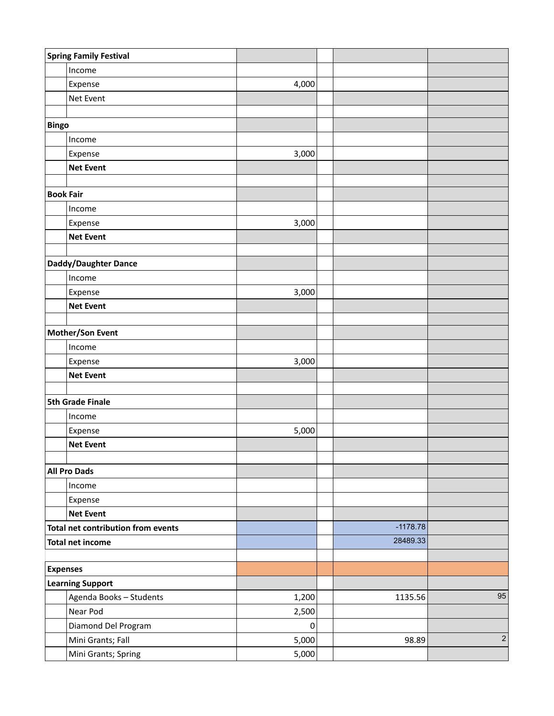|                         | <b>Spring Family Festival</b>      |           |            |            |
|-------------------------|------------------------------------|-----------|------------|------------|
|                         | Income                             |           |            |            |
|                         | Expense                            | 4,000     |            |            |
|                         | Net Event                          |           |            |            |
|                         |                                    |           |            |            |
| <b>Bingo</b>            |                                    |           |            |            |
|                         | Income                             |           |            |            |
|                         | Expense                            | 3,000     |            |            |
|                         | <b>Net Event</b>                   |           |            |            |
|                         |                                    |           |            |            |
| <b>Book Fair</b>        |                                    |           |            |            |
|                         | Income                             |           |            |            |
|                         | Expense                            | 3,000     |            |            |
|                         | <b>Net Event</b>                   |           |            |            |
|                         |                                    |           |            |            |
|                         | Daddy/Daughter Dance               |           |            |            |
|                         | Income                             |           |            |            |
|                         | Expense                            | 3,000     |            |            |
|                         | <b>Net Event</b>                   |           |            |            |
|                         |                                    |           |            |            |
| Mother/Son Event        |                                    |           |            |            |
|                         | Income                             |           |            |            |
|                         | Expense                            | 3,000     |            |            |
|                         | <b>Net Event</b>                   |           |            |            |
|                         | <b>5th Grade Finale</b>            |           |            |            |
|                         | Income                             |           |            |            |
|                         | Expense                            | 5,000     |            |            |
|                         | <b>Net Event</b>                   |           |            |            |
|                         |                                    |           |            |            |
|                         | <b>All Pro Dads</b>                |           |            |            |
|                         | Income                             |           |            |            |
|                         | Expense                            |           |            |            |
|                         | <b>Net Event</b>                   |           |            |            |
|                         | Total net contribution from events |           | $-1178.78$ |            |
| <b>Total net income</b> |                                    |           | 28489.33   |            |
|                         |                                    |           |            |            |
| <b>Expenses</b>         |                                    |           |            |            |
| <b>Learning Support</b> |                                    |           |            |            |
|                         | Agenda Books - Students            | 1,200     | 1135.56    | 95         |
|                         | Near Pod                           | 2,500     |            |            |
|                         | Diamond Del Program                | $\pmb{0}$ |            |            |
|                         | Mini Grants; Fall                  | 5,000     | 98.89      | $\sqrt{2}$ |
|                         | Mini Grants; Spring                | 5,000     |            |            |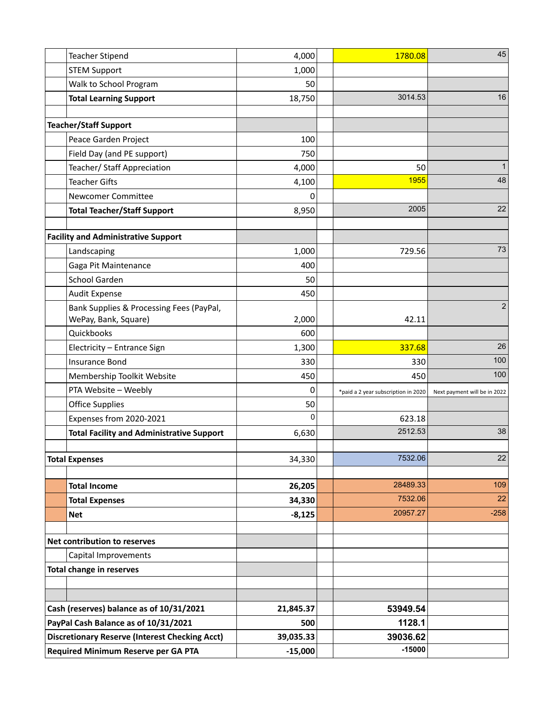|                                                       | <b>Teacher Stipend</b>                           | 4,000     | 1780.08                             | 45                           |
|-------------------------------------------------------|--------------------------------------------------|-----------|-------------------------------------|------------------------------|
|                                                       | <b>STEM Support</b>                              | 1,000     |                                     |                              |
|                                                       | Walk to School Program                           | 50        |                                     |                              |
|                                                       | <b>Total Learning Support</b>                    | 18,750    | 3014.53                             | 16                           |
|                                                       |                                                  |           |                                     |                              |
|                                                       | <b>Teacher/Staff Support</b>                     |           |                                     |                              |
|                                                       | Peace Garden Project                             | 100       |                                     |                              |
|                                                       | Field Day (and PE support)                       | 750       |                                     |                              |
|                                                       | Teacher/ Staff Appreciation                      | 4,000     | 50                                  | 1                            |
|                                                       | <b>Teacher Gifts</b>                             | 4,100     | 1955                                | 48                           |
|                                                       | Newcomer Committee                               | U         |                                     |                              |
|                                                       | <b>Total Teacher/Staff Support</b>               | 8,950     | 2005                                | 22                           |
|                                                       |                                                  |           |                                     |                              |
|                                                       | <b>Facility and Administrative Support</b>       |           |                                     |                              |
|                                                       | Landscaping                                      | 1,000     | 729.56                              | 73                           |
|                                                       | Gaga Pit Maintenance                             | 400       |                                     |                              |
|                                                       | <b>School Garden</b>                             | 50        |                                     |                              |
|                                                       | <b>Audit Expense</b>                             | 450       |                                     |                              |
|                                                       | Bank Supplies & Processing Fees (PayPal,         |           |                                     | $\overline{2}$               |
|                                                       | WePay, Bank, Square)                             | 2,000     | 42.11                               |                              |
|                                                       | Quickbooks                                       | 600       |                                     |                              |
|                                                       | Electricity - Entrance Sign                      | 1,300     | 337.68                              | 26                           |
|                                                       | <b>Insurance Bond</b>                            | 330       | 330                                 | 100                          |
|                                                       | Membership Toolkit Website                       | 450       | 450                                 | 100                          |
|                                                       | PTA Website - Weebly                             | 0         | *paid a 2 year subscription in 2020 | Next payment will be in 2022 |
|                                                       | <b>Office Supplies</b>                           | 50        |                                     |                              |
|                                                       | Expenses from 2020-2021                          | 0         | 623.18                              |                              |
|                                                       | <b>Total Facility and Administrative Support</b> | 6,630     | 2512.53                             | 38                           |
|                                                       |                                                  |           | 7532.06                             | 22                           |
|                                                       | <b>Total Expenses</b>                            | 34,330    |                                     |                              |
|                                                       | <b>Total Income</b>                              | 26,205    | 28489.33                            | 109                          |
|                                                       | <b>Total Expenses</b>                            | 34,330    | 7532.06                             | 22                           |
|                                                       | <b>Net</b>                                       | $-8,125$  | 20957.27                            | $-258$                       |
|                                                       |                                                  |           |                                     |                              |
|                                                       | Net contribution to reserves                     |           |                                     |                              |
|                                                       | Capital Improvements                             |           |                                     |                              |
|                                                       | <b>Total change in reserves</b>                  |           |                                     |                              |
|                                                       |                                                  |           |                                     |                              |
|                                                       |                                                  |           |                                     |                              |
|                                                       | Cash (reserves) balance as of 10/31/2021         | 21,845.37 | 53949.54                            |                              |
| PayPal Cash Balance as of 10/31/2021                  |                                                  | 500       | 1128.1                              |                              |
| <b>Discretionary Reserve (Interest Checking Acct)</b> |                                                  | 39,035.33 | 39036.62                            |                              |
| Required Minimum Reserve per GA PTA                   |                                                  | $-15,000$ | $-15000$                            |                              |